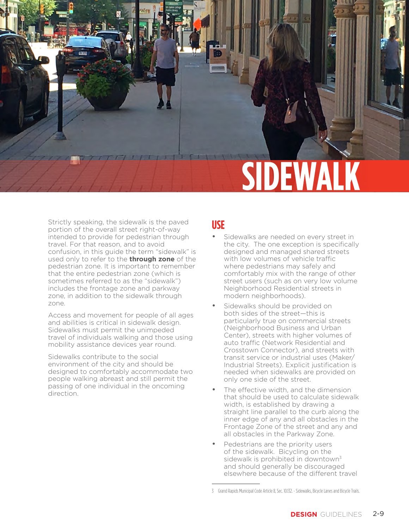

Strictly speaking, the sidewalk is the paved portion of the overall street right-of-way intended to provide for pedestrian through travel. For that reason, and to avoid confusion, in this guide the term "sidewalk" is used only to refer to the **through zone** of the pedestrian zone. It is important to remember that the entire pedestrian zone (which is sometimes referred to as the "sidewalk") includes the frontage zone and parkway zone, in addition to the sidewalk through zone.

Access and movement for people of all ages and abilities is critical in sidewalk design. Sidewalks must permit the unimpeded travel of individuals walking and those using mobility assistance devices year round.

Sidewalks contribute to the social environment of the city and should be designed to comfortably accommodate two people walking abreast and still permit the passing of one individual in the oncoming direction.

#### **USE**

- Sidewalks are needed on every street in the city. The one exception is specifically designed and managed shared streets with low volumes of vehicle traffic where pedestrians may safely and comfortably mix with the range of other street users (such as on very low volume Neighborhood Residential streets in modern neighborhoods).
- Sidewalks should be provided on both sides of the street—this is particularly true on commercial streets (Neighborhood Business and Urban Center), streets with higher volumes of auto traffic (Network Residential and Crosstown Connector), and streets with transit service or industrial uses (Maker/ Industrial Streets). Explicit justification is needed when sidewalks are provided on only one side of the street.
- The effective width, and the dimension that should be used to calculate sidewalk width, is established by drawing a straight line parallel to the curb along the inner edge of any and all obstacles in the Frontage Zone of the street and any and all obstacles in the Parkway Zone.
- Pedestrians are the priority users of the sidewalk. Bicycling on the sidewalk is prohibited in downtown<sup>3</sup> and should generally be discouraged elsewhere because of the different travel

<sup>3</sup> Grand Rapids Municipal Code Article 8, Sec. 10.132. - Sidewalks, Bicycle Lanes and Bicycle Trails.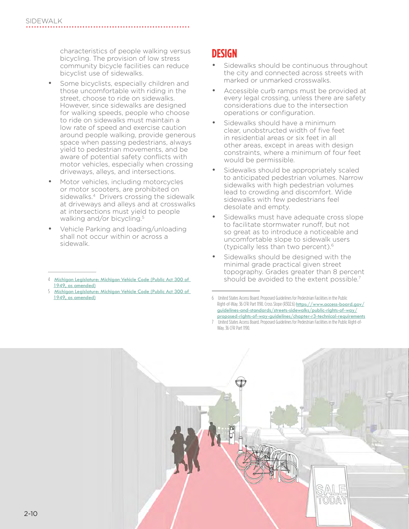characteristics of people walking versus bicycling. The provision of low stress community bicycle facilities can reduce bicyclist use of sidewalks.

- Some bicyclists, especially children and those uncomfortable with riding in the street, choose to ride on sidewalks. However, since sidewalks are designed for walking speeds, people who choose to ride on sidewalks must maintain a low rate of speed and exercise caution around people walking, provide generous space when passing pedestrians, always yield to pedestrian movements, and be aware of potential safety conflicts with motor vehicles, especially when crossing driveways, alleys, and intersections.
- Motor vehicles, including motorcycles or motor scooters, are prohibited on sidewalks.<sup>4</sup> Drivers crossing the sidewalk at driveways and alleys and at crosswalks at intersections must yield to people walking and/or bicycling. 5
- Vehicle Parking and loading/unloading shall not occur within or across a sidewalk.

5 [Michigan Legislature: Michigan Vehicle Code \(Public Act 300 of](http://legislature.mi.gov/doc.aspx?mcl-act-300-of-1949)  [1949, as amended\)](http://legislature.mi.gov/doc.aspx?mcl-act-300-of-1949)

### **DESIGN**

- Sidewalks should be continuous throughout the city and connected across streets with marked or unmarked crosswalks.
- Accessible curb ramps must be provided at every legal crossing, unless there are safety considerations due to the intersection operations or configuration.
- Sidewalks should have a minimum clear, unobstructed width of five feet in residential areas or six feet in all other areas, except in areas with design constraints, where a minimum of four feet would be permissible.
- Sidewalks should be appropriately scaled to anticipated pedestrian volumes. Narrow sidewalks with high pedestrian volumes lead to crowding and discomfort. Wide sidewalks with few pedestrians feel desolate and empty.
- Sidewalks must have adequate cross slope to facilitate stormwater runoff, but not so great as to introduce a noticeable and uncomfortable slope to sidewalk users (typically less than two percent).6
- Sidewalks should be designed with the minimal grade practical given street topography. Grades greater than 8 percent should be avoided to the extent possible.<sup>7</sup>

<sup>7</sup> United States Access Board. Proposed Guidelines for Pedestrian Facilities in the Public Right-of-Way. 36 CFR Part 1190.



<sup>4</sup> [Michigan Legislature: Michigan Vehicle Code \(Public Act 300 of](http://legislature.mi.gov/doc.aspx?mcl-act-300-of-1949)  [1949, as amended\)](http://legislature.mi.gov/doc.aspx?mcl-act-300-of-1949)

<sup>6</sup> United States Access Board. Proposed Guidelines for Pedestrian Facilities in the Public Right-of-Way. 36 CFR Part 1190. Cross Slope (R302.6) [https://www.access-board.gov/](https://www.access-board.gov/guidelines-and-standards/streets-sidewalks/public-rights-of-way/proposed-rights-of-way-guidelines/chapter-r3-technical-requirements) [guidelines-and-standards/streets-sidewalks/public-rights-of-way/](https://www.access-board.gov/guidelines-and-standards/streets-sidewalks/public-rights-of-way/proposed-rights-of-way-guidelines/chapter-r3-technical-requirements) [proposed-rights-of-way-guidelines/chapter-r3-technical-requirements](https://www.access-board.gov/guidelines-and-standards/streets-sidewalks/public-rights-of-way/proposed-rights-of-way-guidelines/chapter-r3-technical-requirements)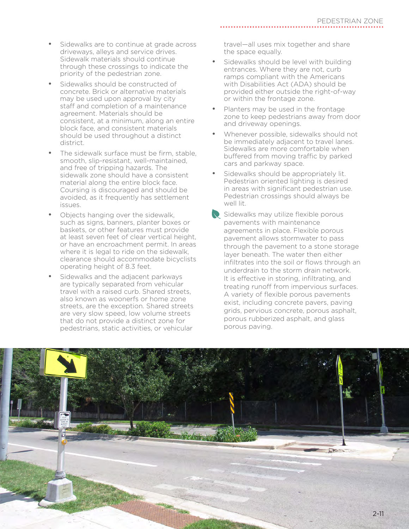- Sidewalks are to continue at grade across driveways, alleys and service drives. Sidewalk materials should continue through these crossings to indicate the priority of the pedestrian zone.
- Sidewalks should be constructed of concrete. Brick or alternative materials may be used upon approval by city staff and completion of a maintenance agreement. Materials should be consistent, at a minimum, along an entire block face, and consistent materials should be used throughout a distinct district.
- The sidewalk surface must be firm, stable, smooth, slip-resistant, well-maintained, and free of tripping hazards. The sidewalk zone should have a consistent material along the entire block face. Coursing is discouraged and should be avoided, as it frequently has settlement issues.
- Objects hanging over the sidewalk. such as signs, banners, planter boxes or baskets, or other features must provide at least seven feet of clear vertical height, or have an encroachment permit. In areas where it is legal to ride on the sidewalk, clearance should accommodate bicyclists operating height of 8.3 feet.
- Sidewalks and the adjacent parkways are typically separated from vehicular travel with a raised curb. Shared streets, also known as woonerfs or home zone streets, are the exception. Shared streets are very slow speed, low volume streets that do not provide a distinct zone for pedestrians, static activities, or vehicular

travel—all uses mix together and share the space equally.

- Sidewalks should be level with building entrances. Where they are not, curb ramps compliant with the Americans with Disabilities Act (ADA) should be provided either outside the right-of-way or within the frontage zone.
- Planters may be used in the frontage zone to keep pedestrians away from door and driveway openings.
- Whenever possible, sidewalks should not be immediately adjacent to travel lanes. Sidewalks are more comfortable when buffered from moving traffic by parked cars and parkway space.
- Sidewalks should be appropriately lit. Pedestrian oriented lighting is desired in areas with significant pedestrian use. Pedestrian crossings should always be well lit.
- Sidewalks may utilize flexible porous pavements with maintenance agreements in place. Flexible porous pavement allows stormwater to pass through the pavement to a stone storage layer beneath. The water then either infiltrates into the soil or flows through an underdrain to the storm drain network. It is effective in storing, infiltrating, and treating runoff from impervious surfaces. A variety of flexible porous pavements exist, including concrete pavers, paving grids, pervious concrete, porous asphalt, porous rubberized asphalt, and glass porous paving.